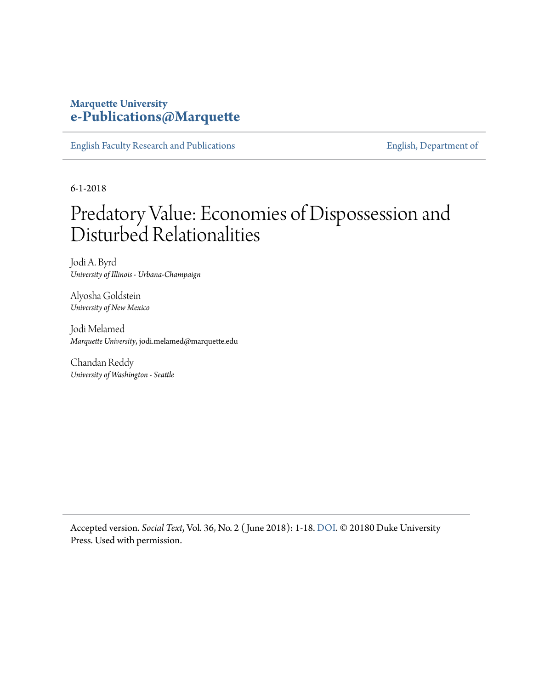## **Marquette University [e-Publications@Marquette](https://epublications.marquette.edu/)**

[English Faculty Research and Publications](https://epublications.marquette.edu/english_fac) **[English, Department of](https://epublications.marquette.edu/english)** 

6-1-2018

## Predatory Value: Economies of Dispossession and Disturbed Relationalities

Jodi A. Byrd *University of Illinois - Urbana-Champaign*

Alyosha Goldstein *University of New Mexico*

Jodi Melamed *Marquette University*, jodi.melamed@marquette.edu

Chandan Reddy *University of Washington - Seattle*

Accepted version. *Social Text*, Vol. 36, No. 2 ( June 2018): 1-18. [DOI.](https://doi.org/10.1215/01642472-4362325) © 20180 Duke University Press. Used with permission.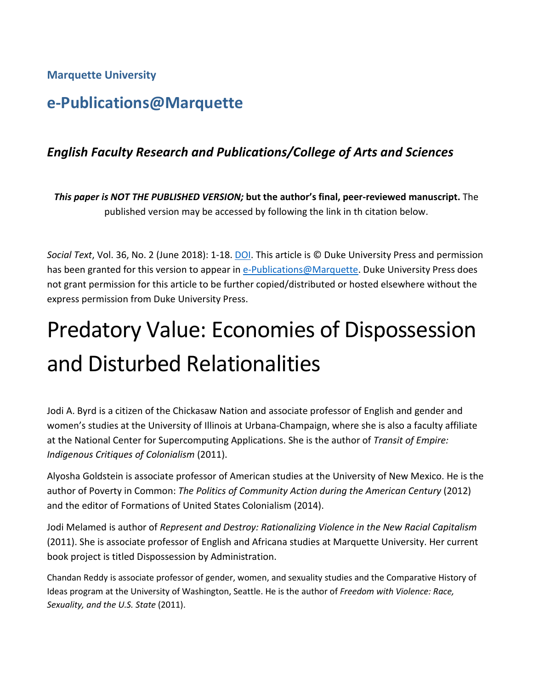### **Marquette University**

## **e-Publications@Marquette**

## *English Faculty Research and Publications/College of Arts and Sciences*

*This paper is NOT THE PUBLISHED VERSION;* **but the author's final, peer-reviewed manuscript.** The published version may be accessed by following the link in th citation below.

*Social Text*, Vol. 36, No. 2 (June 2018): 1-18. [DOI.](https://doi.org/10.1215/01642472-4362325) This article is © Duke University Press and permission has been granted for this version to appear in [e-Publications@Marquette.](http://epublications.marquette.edu/) Duke University Press does not grant permission for this article to be further copied/distributed or hosted elsewhere without the express permission from Duke University Press.

# Predatory Value: Economies of Dispossession and Disturbed Relationalities

Jodi A. Byrd is a citizen of the Chickasaw Nation and associate professor of English and gender and women's studies at the University of Illinois at Urbana-Champaign, where she is also a faculty affiliate at the National Center for Supercomputing Applications. She is the author of *Transit of Empire: Indigenous Critiques of Colonialism* (2011).

Alyosha Goldstein is associate professor of American studies at the University of New Mexico. He is the author of Poverty in Common: *The Politics of Community Action during the American Century* (2012) and the editor of Formations of United States Colonialism (2014).

Jodi Melamed is author of *Represent and Destroy: Rationalizing Violence in the New Racial Capitalism* (2011). She is associate professor of English and Africana studies at Marquette University. Her current book project is titled Dispossession by Administration.

Chandan Reddy is associate professor of gender, women, and sexuality studies and the Comparative History of Ideas program at the University of Washington, Seattle. He is the author of *Freedom with Violence: Race, Sexuality, and the U.S. State* (2011).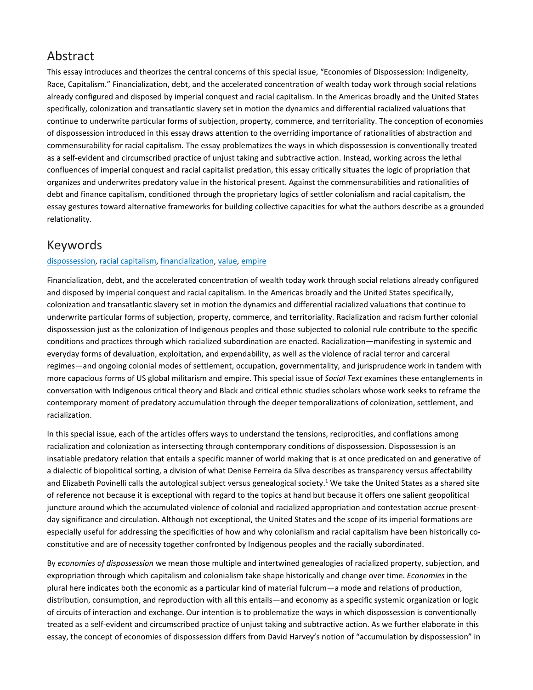## Abstract

This essay introduces and theorizes the central concerns of this special issue, "Economies of Dispossession: Indigeneity, Race, Capitalism." Financialization, debt, and the accelerated concentration of wealth today work through social relations already configured and disposed by imperial conquest and racial capitalism. In the Americas broadly and the United States specifically, colonization and transatlantic slavery set in motion the dynamics and differential racialized valuations that continue to underwrite particular forms of subjection, property, commerce, and territoriality. The conception of economies of dispossession introduced in this essay draws attention to the overriding importance of rationalities of abstraction and commensurability for racial capitalism. The essay problematizes the ways in which dispossession is conventionally treated as a self-evident and circumscribed practice of unjust taking and subtractive action. Instead, working across the lethal confluences of imperial conquest and racial capitalist predation, this essay critically situates the logic of propriation that organizes and underwrites predatory value in the historical present. Against the commensurabilities and rationalities of debt and finance capitalism, conditioned through the proprietary logics of settler colonialism and racial capitalism, the essay gestures toward alternative frameworks for building collective capacities for what the authors describe as a grounded relationality.

## Keywords

#### [dispossession,](javascript:;) racial [capitalism,](javascript:;) [financialization,](javascript:;) [value,](javascript:;) [empire](javascript:;)

Financialization, debt, and the accelerated concentration of wealth today work through social relations already configured and disposed by imperial conquest and racial capitalism. In the Americas broadly and the United States specifically, colonization and transatlantic slavery set in motion the dynamics and differential racialized valuations that continue to underwrite particular forms of subjection, property, commerce, and territoriality. Racialization and racism further colonial dispossession just as the colonization of Indigenous peoples and those subjected to colonial rule contribute to the specific conditions and practices through which racialized subordination are enacted. Racialization—manifesting in systemic and everyday forms of devaluation, exploitation, and expendability, as well as the violence of racial terror and carceral regimes—and ongoing colonial modes of settlement, occupation, governmentality, and jurisprudence work in tandem with more capacious forms of US global militarism and empire. This special issue of *Social Text* examines these entanglements in conversation with Indigenous critical theory and Black and critical ethnic studies scholars whose work seeks to reframe the contemporary moment of predatory accumulation through the deeper temporalizations of colonization, settlement, and racialization.

In this special issue, each of the articles offers ways to understand the tensions, reciprocities, and conflations among racialization and colonization as intersecting through contemporary conditions of dispossession. Dispossession is an insatiable predatory relation that entails a specific manner of world making that is at once predicated on and generative of a dialectic of biopolitical sorting, a division of what Denise Ferreira da Silva describes as transparency versus affectability and Elizabeth Povinelli calls the autological subject versus genealogical society.<sup>1</sup> We take the United States as a shared site of reference not because it is exceptional with regard to the topics at hand but because it offers one salient geopolitical juncture around which the accumulated violence of colonial and racialized appropriation and contestation accrue presentday significance and circulation. Although not exceptional, the United States and the scope of its imperial formations are especially useful for addressing the specificities of how and why colonialism and racial capitalism have been historically coconstitutive and are of necessity together confronted by Indigenous peoples and the racially subordinated.

By *economies of dispossession* we mean those multiple and intertwined genealogies of racialized property, subjection, and expropriation through which capitalism and colonialism take shape historically and change over time. *Economies* in the plural here indicates both the economic as a particular kind of material fulcrum—a mode and relations of production, distribution, consumption, and reproduction with all this entails—and economy as a specific systemic organization or logic of circuits of interaction and exchange. Our intention is to problematize the ways in which dispossession is conventionally treated as a self-evident and circumscribed practice of unjust taking and subtractive action. As we further elaborate in this essay, the concept of economies of dispossession differs from David Harvey's notion of "accumulation by dispossession" in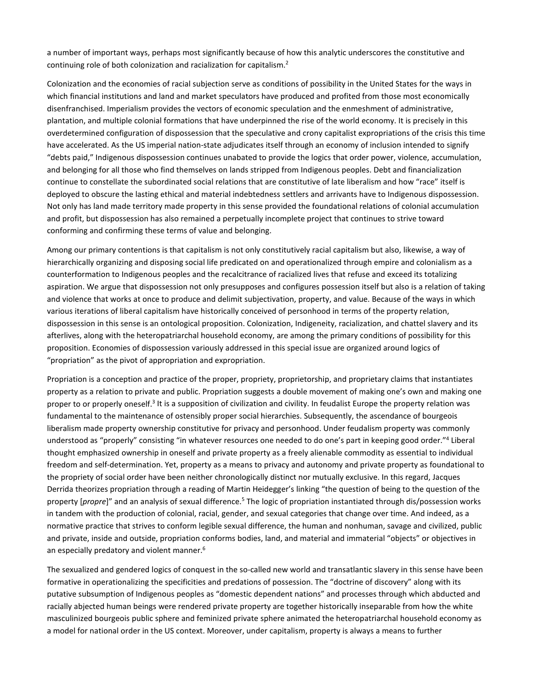a number of important ways, perhaps most significantly because of how this analytic underscores the constitutive and continuing role of both colonization and racialization for capitalism.2

Colonization and the economies of racial subjection serve as conditions of possibility in the United States for the ways in which financial institutions and land and market speculators have produced and profited from those most economically disenfranchised. Imperialism provides the vectors of economic speculation and the enmeshment of administrative, plantation, and multiple colonial formations that have underpinned the rise of the world economy. It is precisely in this overdetermined configuration of dispossession that the speculative and crony capitalist expropriations of the crisis this time have accelerated. As the US imperial nation-state adjudicates itself through an economy of inclusion intended to signify "debts paid," Indigenous dispossession continues unabated to provide the logics that order power, violence, accumulation, and belonging for all those who find themselves on lands stripped from Indigenous peoples. Debt and financialization continue to constellate the subordinated social relations that are constitutive of late liberalism and how "race" itself is deployed to obscure the lasting ethical and material indebtedness settlers and arrivants have to Indigenous dispossession. Not only has land made territory made property in this sense provided the foundational relations of colonial accumulation and profit, but dispossession has also remained a perpetually incomplete project that continues to strive toward conforming and confirming these terms of value and belonging.

Among our primary contentions is that capitalism is not only constitutively racial capitalism but also, likewise, a way of hierarchically organizing and disposing social life predicated on and operationalized through empire and colonialism as a counterformation to Indigenous peoples and the recalcitrance of racialized lives that refuse and exceed its totalizing aspiration. We argue that dispossession not only presupposes and configures possession itself but also is a relation of taking and violence that works at once to produce and delimit subjectivation, property, and value. Because of the ways in which various iterations of liberal capitalism have historically conceived of personhood in terms of the property relation, dispossession in this sense is an ontological proposition. Colonization, Indigeneity, racialization, and chattel slavery and its afterlives, along with the heteropatriarchal household economy, are among the primary conditions of possibility for this proposition. Economies of dispossession variously addressed in this special issue are organized around logics of "propriation" as the pivot of appropriation and expropriation.

Propriation is a conception and practice of the proper, propriety, proprietorship, and proprietary claims that instantiates property as a relation to private and public. Propriation suggests a double movement of making one's own and making one proper to or properly oneself.<sup>3</sup> It is a supposition of civilization and civility. In feudalist Europe the property relation was fundamental to the maintenance of ostensibly proper social hierarchies. Subsequently, the ascendance of bourgeois liberalism made property ownership constitutive for privacy and personhood. Under feudalism property was commonly understood as "properly" consisting "in whatever resources one needed to do one's part in keeping good order."4 Liberal thought emphasized ownership in oneself and private property as a freely alienable commodity as essential to individual freedom and self-determination. Yet, property as a means to privacy and autonomy and private property as foundational to the propriety of social order have been neither chronologically distinct nor mutually exclusive. In this regard, Jacques Derrida theorizes propriation through a reading of Martin Heidegger's linking "the question of being to the question of the property [*propre*]" and an analysis of sexual difference.5 The logic of propriation instantiated through dis/possession works in tandem with the production of colonial, racial, gender, and sexual categories that change over time. And indeed, as a normative practice that strives to conform legible sexual difference, the human and nonhuman, savage and civilized, public and private, inside and outside, propriation conforms bodies, land, and material and immaterial "objects" or objectives in an especially predatory and violent manner.<sup>6</sup>

The sexualized and gendered logics of conquest in the so-called new world and transatlantic slavery in this sense have been formative in operationalizing the specificities and predations of possession. The "doctrine of discovery" along with its putative subsumption of Indigenous peoples as "domestic dependent nations" and processes through which abducted and racially abjected human beings were rendered private property are together historically inseparable from how the white masculinized bourgeois public sphere and feminized private sphere animated the heteropatriarchal household economy as a model for national order in the US context. Moreover, under capitalism, property is always a means to further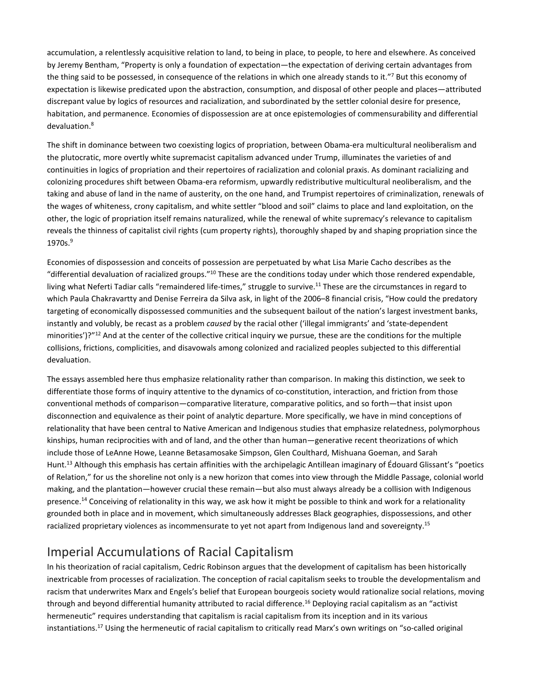accumulation, a relentlessly acquisitive relation to land, to being in place, to people, to here and elsewhere. As conceived by Jeremy Bentham, "Property is only a foundation of expectation—the expectation of deriving certain advantages from the thing said to be possessed, in consequence of the relations in which one already stands to it."7 But this economy of expectation is likewise predicated upon the abstraction, consumption, and disposal of other people and places—attributed discrepant value by logics of resources and racialization, and subordinated by the settler colonial desire for presence, habitation, and permanence. Economies of dispossession are at once epistemologies of commensurability and differential devaluation.<sup>8</sup>

The shift in dominance between two coexisting logics of propriation, between Obama-era multicultural neoliberalism and the plutocratic, more overtly white supremacist capitalism advanced under Trump, illuminates the varieties of and continuities in logics of propriation and their repertoires of racialization and colonial praxis. As dominant racializing and colonizing procedures shift between Obama-era reformism, upwardly redistributive multicultural neoliberalism, and the taking and abuse of land in the name of austerity, on the one hand, and Trumpist repertoires of criminalization, renewals of the wages of whiteness, crony capitalism, and white settler "blood and soil" claims to place and land exploitation, on the other, the logic of propriation itself remains naturalized, while the renewal of white supremacy's relevance to capitalism reveals the thinness of capitalist civil rights (cum property rights), thoroughly shaped by and shaping propriation since the 1970s.<sup>9</sup>

Economies of dispossession and conceits of possession are perpetuated by what Lisa Marie Cacho describes as the "differential devaluation of racialized groups."10 These are the conditions today under which those rendered expendable, living what Neferti Tadiar calls "remaindered life-times," struggle to survive.<sup>11</sup> These are the circumstances in regard to which Paula Chakravartty and Denise Ferreira da Silva ask, in light of the 2006–8 financial crisis, "How could the predatory targeting of economically dispossessed communities and the subsequent bailout of the nation's largest investment banks, instantly and volubly, be recast as a problem *caused* by the racial other ('illegal immigrants' and 'state-dependent minorities')?"<sup>12</sup> And at the center of the collective critical inquiry we pursue, these are the conditions for the multiple collisions, frictions, complicities, and disavowals among colonized and racialized peoples subjected to this differential devaluation.

The essays assembled here thus emphasize relationality rather than comparison. In making this distinction, we seek to differentiate those forms of inquiry attentive to the dynamics of co-constitution, interaction, and friction from those conventional methods of comparison—comparative literature, comparative politics, and so forth—that insist upon disconnection and equivalence as their point of analytic departure. More specifically, we have in mind conceptions of relationality that have been central to Native American and Indigenous studies that emphasize relatedness, polymorphous kinships, human reciprocities with and of land, and the other than human—generative recent theorizations of which include those of LeAnne Howe, Leanne Betasamosake Simpson, Glen Coulthard, Mishuana Goeman, and Sarah Hunt.13 Although this emphasis has certain affinities with the archipelagic Antillean imaginary of Édouard Glissant's "poetics of Relation," for us the shoreline not only is a new horizon that comes into view through the Middle Passage, colonial world making, and the plantation—however crucial these remain—but also must always already be a collision with Indigenous presence.<sup>14</sup> Conceiving of relationality in this way, we ask how it might be possible to think and work for a relationality grounded both in place and in movement, which simultaneously addresses Black geographies, dispossessions, and other racialized proprietary violences as incommensurate to yet not apart from Indigenous land and sovereignty.<sup>15</sup>

## Imperial Accumulations of Racial Capitalism

In his theorization of racial capitalism, Cedric Robinson argues that the development of capitalism has been historically inextricable from processes of racialization. The conception of racial capitalism seeks to trouble the developmentalism and racism that underwrites Marx and Engels's belief that European bourgeois society would rationalize social relations, moving through and beyond differential humanity attributed to racial difference.<sup>16</sup> Deploying racial capitalism as an "activist hermeneutic" requires understanding that capitalism is racial capitalism from its inception and in its various instantiations.17 Using the hermeneutic of racial capitalism to critically read Marx's own writings on "so-called original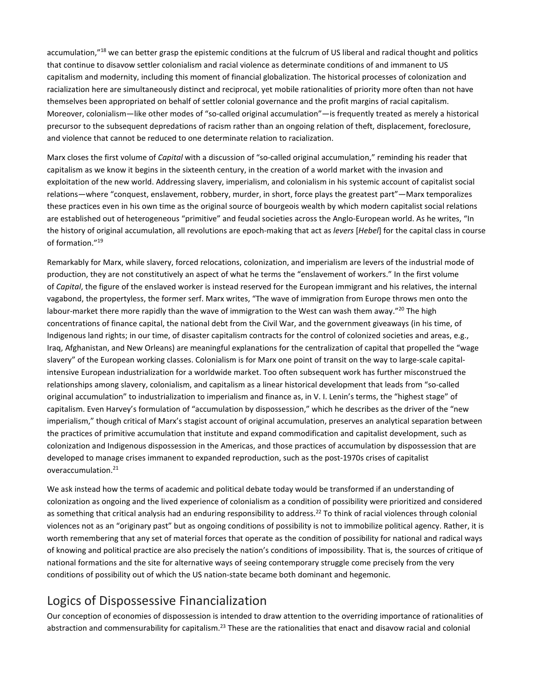accumulation,"<sup>18</sup> we can better grasp the epistemic conditions at the fulcrum of US liberal and radical thought and politics that continue to disavow settler colonialism and racial violence as determinate conditions of and immanent to US capitalism and modernity, including this moment of financial globalization. The historical processes of colonization and racialization here are simultaneously distinct and reciprocal, yet mobile rationalities of priority more often than not have themselves been appropriated on behalf of settler colonial governance and the profit margins of racial capitalism. Moreover, colonialism—like other modes of "so-called original accumulation"—is frequently treated as merely a historical precursor to the subsequent depredations of racism rather than an ongoing relation of theft, displacement, foreclosure, and violence that cannot be reduced to one determinate relation to racialization.

Marx closes the first volume of *Capital* with a discussion of "so-called original accumulation," reminding his reader that capitalism as we know it begins in the sixteenth century, in the creation of a world market with the invasion and exploitation of the new world. Addressing slavery, imperialism, and colonialism in his systemic account of capitalist social relations—where "conquest, enslavement, robbery, murder, in short, force plays the greatest part"—Marx temporalizes these practices even in his own time as the original source of bourgeois wealth by which modern capitalist social relations are established out of heterogeneous "primitive" and feudal societies across the Anglo-European world. As he writes, "In the history of original accumulation, all revolutions are epoch-making that act as *levers* [*Hebel*] for the capital class in course of formation."19

Remarkably for Marx, while slavery, forced relocations, colonization, and imperialism are levers of the industrial mode of production, they are not constitutively an aspect of what he terms the "enslavement of workers." In the first volume of *Capital*, the figure of the enslaved worker is instead reserved for the European immigrant and his relatives, the internal vagabond, the propertyless, the former serf. Marx writes, "The wave of immigration from Europe throws men onto the labour-market there more rapidly than the wave of immigration to the West can wash them away."<sup>20</sup> The high concentrations of finance capital, the national debt from the Civil War, and the government giveaways (in his time, of Indigenous land rights; in our time, of disaster capitalism contracts for the control of colonized societies and areas, e.g., Iraq, Afghanistan, and New Orleans) are meaningful explanations for the centralization of capital that propelled the "wage slavery" of the European working classes. Colonialism is for Marx one point of transit on the way to large-scale capitalintensive European industrialization for a worldwide market. Too often subsequent work has further misconstrued the relationships among slavery, colonialism, and capitalism as a linear historical development that leads from "so-called original accumulation" to industrialization to imperialism and finance as, in V. I. Lenin's terms, the "highest stage" of capitalism. Even Harvey's formulation of "accumulation by dispossession," which he describes as the driver of the "new imperialism," though critical of Marx's stagist account of original accumulation, preserves an analytical separation between the practices of primitive accumulation that institute and expand commodification and capitalist development, such as colonization and Indigenous dispossession in the Americas, and those practices of accumulation by dispossession that are developed to manage crises immanent to expanded reproduction, such as the post-1970s crises of capitalist overaccumulation.<sup>21</sup>

We ask instead how the terms of academic and political debate today would be transformed if an understanding of colonization as ongoing and the lived experience of colonialism as a condition of possibility were prioritized and considered as something that critical analysis had an enduring responsibility to address.<sup>22</sup> To think of racial violences through colonial violences not as an "originary past" but as ongoing conditions of possibility is not to immobilize political agency. Rather, it is worth remembering that any set of material forces that operate as the condition of possibility for national and radical ways of knowing and political practice are also precisely the nation's conditions of impossibility. That is, the sources of critique of national formations and the site for alternative ways of seeing contemporary struggle come precisely from the very conditions of possibility out of which the US nation-state became both dominant and hegemonic.

## Logics of Dispossessive Financialization

Our conception of economies of dispossession is intended to draw attention to the overriding importance of rationalities of abstraction and commensurability for capitalism.<sup>23</sup> These are the rationalities that enact and disavow racial and colonial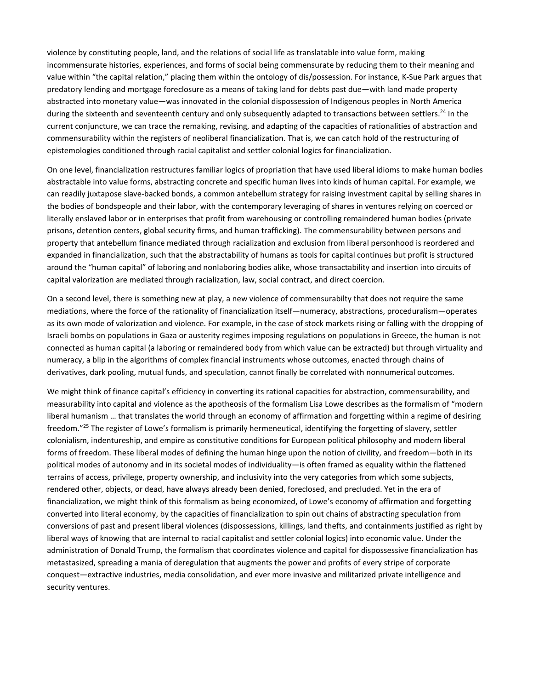violence by constituting people, land, and the relations of social life as translatable into value form, making incommensurate histories, experiences, and forms of social being commensurate by reducing them to their meaning and value within "the capital relation," placing them within the ontology of dis/possession. For instance, K-Sue Park argues that predatory lending and mortgage foreclosure as a means of taking land for debts past due—with land made property abstracted into monetary value—was innovated in the colonial dispossession of Indigenous peoples in North America during the sixteenth and seventeenth century and only subsequently adapted to transactions between settlers.<sup>24</sup> In the current conjuncture, we can trace the remaking, revising, and adapting of the capacities of rationalities of abstraction and commensurability within the registers of neoliberal financialization. That is, we can catch hold of the restructuring of epistemologies conditioned through racial capitalist and settler colonial logics for financialization.

On one level, financialization restructures familiar logics of propriation that have used liberal idioms to make human bodies abstractable into value forms, abstracting concrete and specific human lives into kinds of human capital. For example, we can readily juxtapose slave-backed bonds, a common antebellum strategy for raising investment capital by selling shares in the bodies of bondspeople and their labor, with the contemporary leveraging of shares in ventures relying on coerced or literally enslaved labor or in enterprises that profit from warehousing or controlling remaindered human bodies (private prisons, detention centers, global security firms, and human trafficking). The commensurability between persons and property that antebellum finance mediated through racialization and exclusion from liberal personhood is reordered and expanded in financialization, such that the abstractability of humans as tools for capital continues but profit is structured around the "human capital" of laboring and nonlaboring bodies alike, whose transactability and insertion into circuits of capital valorization are mediated through racialization, law, social contract, and direct coercion.

On a second level, there is something new at play, a new violence of commensurabilty that does not require the same mediations, where the force of the rationality of financialization itself—numeracy, abstractions, proceduralism—operates as its own mode of valorization and violence. For example, in the case of stock markets rising or falling with the dropping of Israeli bombs on populations in Gaza or austerity regimes imposing regulations on populations in Greece, the human is not connected as human capital (a laboring or remaindered body from which value can be extracted) but through virtuality and numeracy, a blip in the algorithms of complex financial instruments whose outcomes, enacted through chains of derivatives, dark pooling, mutual funds, and speculation, cannot finally be correlated with nonnumerical outcomes.

We might think of finance capital's efficiency in converting its rational capacities for abstraction, commensurability, and measurability into capital and violence as the apotheosis of the formalism Lisa Lowe describes as the formalism of "modern liberal humanism … that translates the world through an economy of affirmation and forgetting within a regime of desiring freedom."<sup>25</sup> The register of Lowe's formalism is primarily hermeneutical, identifying the forgetting of slavery, settler colonialism, indentureship, and empire as constitutive conditions for European political philosophy and modern liberal forms of freedom. These liberal modes of defining the human hinge upon the notion of civility, and freedom—both in its political modes of autonomy and in its societal modes of individuality—is often framed as equality within the flattened terrains of access, privilege, property ownership, and inclusivity into the very categories from which some subjects, rendered other, objects, or dead, have always already been denied, foreclosed, and precluded. Yet in the era of financialization, we might think of this formalism as being economized, of Lowe's economy of affirmation and forgetting converted into literal economy, by the capacities of financialization to spin out chains of abstracting speculation from conversions of past and present liberal violences (dispossessions, killings, land thefts, and containments justified as right by liberal ways of knowing that are internal to racial capitalist and settler colonial logics) into economic value. Under the administration of Donald Trump, the formalism that coordinates violence and capital for dispossessive financialization has metastasized, spreading a mania of deregulation that augments the power and profits of every stripe of corporate conquest—extractive industries, media consolidation, and ever more invasive and militarized private intelligence and security ventures.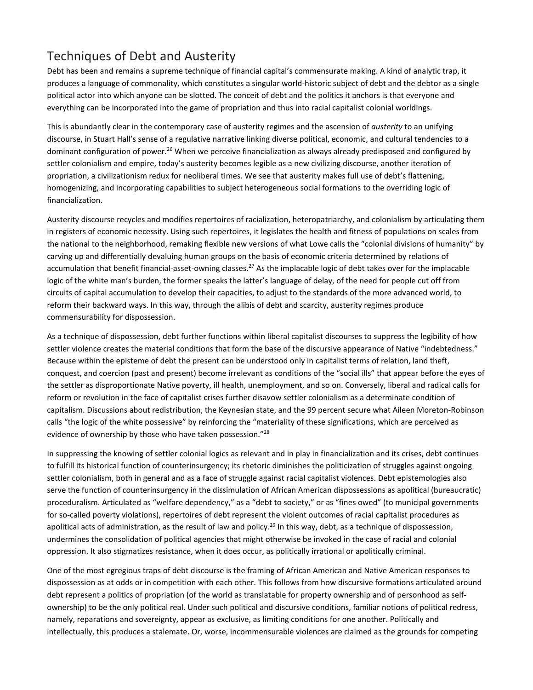## Techniques of Debt and Austerity

Debt has been and remains a supreme technique of financial capital's commensurate making. A kind of analytic trap, it produces a language of commonality, which constitutes a singular world-historic subject of debt and the debtor as a single political actor into which anyone can be slotted. The conceit of debt and the politics it anchors is that everyone and everything can be incorporated into the game of propriation and thus into racial capitalist colonial worldings.

This is abundantly clear in the contemporary case of austerity regimes and the ascension of *austerity* to an unifying discourse, in Stuart Hall's sense of a regulative narrative linking diverse political, economic, and cultural tendencies to a dominant configuration of power.<sup>26</sup> When we perceive financialization as always already predisposed and configured by settler colonialism and empire, today's austerity becomes legible as a new civilizing discourse, another iteration of propriation, a civilizationism redux for neoliberal times. We see that austerity makes full use of debt's flattening, homogenizing, and incorporating capabilities to subject heterogeneous social formations to the overriding logic of financialization.

Austerity discourse recycles and modifies repertoires of racialization, heteropatriarchy, and colonialism by articulating them in registers of economic necessity. Using such repertoires, it legislates the health and fitness of populations on scales from the national to the neighborhood, remaking flexible new versions of what Lowe calls the "colonial divisions of humanity" by carving up and differentially devaluing human groups on the basis of economic criteria determined by relations of accumulation that benefit financial-asset-owning classes.<sup>27</sup> As the implacable logic of debt takes over for the implacable logic of the white man's burden, the former speaks the latter's language of delay, of the need for people cut off from circuits of capital accumulation to develop their capacities, to adjust to the standards of the more advanced world, to reform their backward ways. In this way, through the alibis of debt and scarcity, austerity regimes produce commensurability for dispossession.

As a technique of dispossession, debt further functions within liberal capitalist discourses to suppress the legibility of how settler violence creates the material conditions that form the base of the discursive appearance of Native "indebtedness." Because within the episteme of debt the present can be understood only in capitalist terms of relation, land theft, conquest, and coercion (past and present) become irrelevant as conditions of the "social ills" that appear before the eyes of the settler as disproportionate Native poverty, ill health, unemployment, and so on. Conversely, liberal and radical calls for reform or revolution in the face of capitalist crises further disavow settler colonialism as a determinate condition of capitalism. Discussions about redistribution, the Keynesian state, and the 99 percent secure what Aileen Moreton-Robinson calls "the logic of the white possessive" by reinforcing the "materiality of these significations, which are perceived as evidence of ownership by those who have taken possession."<sup>28</sup>

In suppressing the knowing of settler colonial logics as relevant and in play in financialization and its crises, debt continues to fulfill its historical function of counterinsurgency; its rhetoric diminishes the politicization of struggles against ongoing settler colonialism, both in general and as a face of struggle against racial capitalist violences. Debt epistemologies also serve the function of counterinsurgency in the dissimulation of African American dispossessions as apolitical (bureaucratic) proceduralism. Articulated as "welfare dependency," as a "debt to society," or as "fines owed" (to municipal governments for so-called poverty violations), repertoires of debt represent the violent outcomes of racial capitalist procedures as apolitical acts of administration, as the result of law and policy.<sup>29</sup> In this way, debt, as a technique of dispossession, undermines the consolidation of political agencies that might otherwise be invoked in the case of racial and colonial oppression. It also stigmatizes resistance, when it does occur, as politically irrational or apolitically criminal.

One of the most egregious traps of debt discourse is the framing of African American and Native American responses to dispossession as at odds or in competition with each other. This follows from how discursive formations articulated around debt represent a politics of propriation (of the world as translatable for property ownership and of personhood as selfownership) to be the only political real. Under such political and discursive conditions, familiar notions of political redress, namely, reparations and sovereignty, appear as exclusive, as limiting conditions for one another. Politically and intellectually, this produces a stalemate. Or, worse, incommensurable violences are claimed as the grounds for competing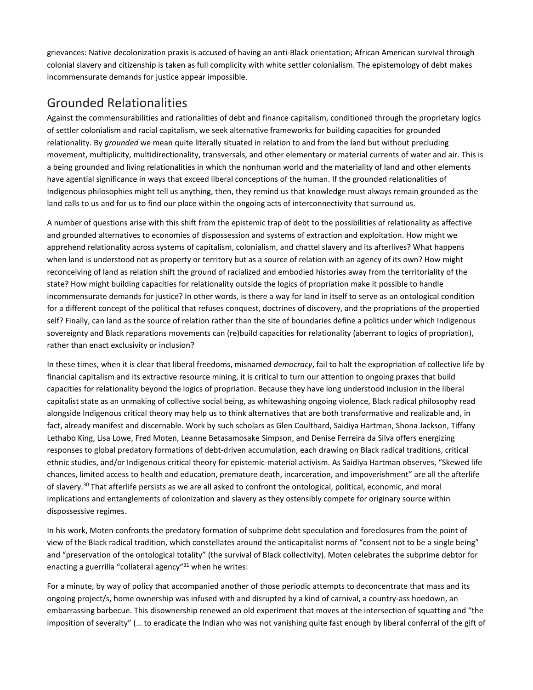grievances: Native decolonization praxis is accused of having an anti-Black orientation; African American survival through colonial slavery and citizenship is taken as full complicity with white settler colonialism. The epistemology of debt makes incommensurate demands for justice appear impossible.

## Grounded Relationalities

Against the commensurabilities and rationalities of debt and finance capitalism, conditioned through the proprietary logics of settler colonialism and racial capitalism, we seek alternative frameworks for building capacities for grounded relationality. By *grounded* we mean quite literally situated in relation to and from the land but without precluding movement, multiplicity, multidirectionality, transversals, and other elementary or material currents of water and air. This is a being grounded and living relationalities in which the nonhuman world and the materiality of land and other elements have agential significance in ways that exceed liberal conceptions of the human. If the grounded relationalities of Indigenous philosophies might tell us anything, then, they remind us that knowledge must always remain grounded as the land calls to us and for us to find our place within the ongoing acts of interconnectivity that surround us.

A number of questions arise with this shift from the epistemic trap of debt to the possibilities of relationality as affective and grounded alternatives to economies of dispossession and systems of extraction and exploitation. How might we apprehend relationality across systems of capitalism, colonialism, and chattel slavery and its afterlives? What happens when land is understood not as property or territory but as a source of relation with an agency of its own? How might reconceiving of land as relation shift the ground of racialized and embodied histories away from the territoriality of the state? How might building capacities for relationality outside the logics of propriation make it possible to handle incommensurate demands for justice? In other words, is there a way for land in itself to serve as an ontological condition for a different concept of the political that refuses conquest, doctrines of discovery, and the propriations of the propertied self? Finally, can land as the source of relation rather than the site of boundaries define a politics under which Indigenous sovereignty and Black reparations movements can (re)build capacities for relationality (aberrant to logics of propriation), rather than enact exclusivity or inclusion?

In these times, when it is clear that liberal freedoms, misnamed *democracy*, fail to halt the expropriation of collective life by financial capitalism and its extractive resource mining, it is critical to turn our attention to ongoing praxes that build capacities for relationality beyond the logics of propriation. Because they have long understood inclusion in the liberal capitalist state as an unmaking of collective social being, as whitewashing ongoing violence, Black radical philosophy read alongside Indigenous critical theory may help us to think alternatives that are both transformative and realizable and, in fact, already manifest and discernable. Work by such scholars as Glen Coulthard, Saidiya Hartman, Shona Jackson, Tiffany Lethabo King, Lisa Lowe, Fred Moten, Leanne Betasamosake Simpson, and Denise Ferreira da Silva offers energizing responses to global predatory formations of debt-driven accumulation, each drawing on Black radical traditions, critical ethnic studies, and/or Indigenous critical theory for epistemic-material activism. As Saidiya Hartman observes, "Skewed life chances, limited access to health and education, premature death, incarceration, and impoverishment" are all the afterlife of slavery.<sup>30</sup> That afterlife persists as we are all asked to confront the ontological, political, economic, and moral implications and entanglements of colonization and slavery as they ostensibly compete for originary source within dispossessive regimes.

In his work, Moten confronts the predatory formation of subprime debt speculation and foreclosures from the point of view of the Black radical tradition, which constellates around the anticapitalist norms of "consent not to be a single being" and "preservation of the ontological totality" (the survival of Black collectivity). Moten celebrates the subprime debtor for enacting a guerrilla "collateral agency"31 when he writes:

For a minute, by way of policy that accompanied another of those periodic attempts to deconcentrate that mass and its ongoing project/s, home ownership was infused with and disrupted by a kind of carnival, a country-ass hoedown, an embarrassing barbecue. This disownership renewed an old experiment that moves at the intersection of squatting and "the imposition of severalty" (… to eradicate the Indian who was not vanishing quite fast enough by liberal conferral of the gift of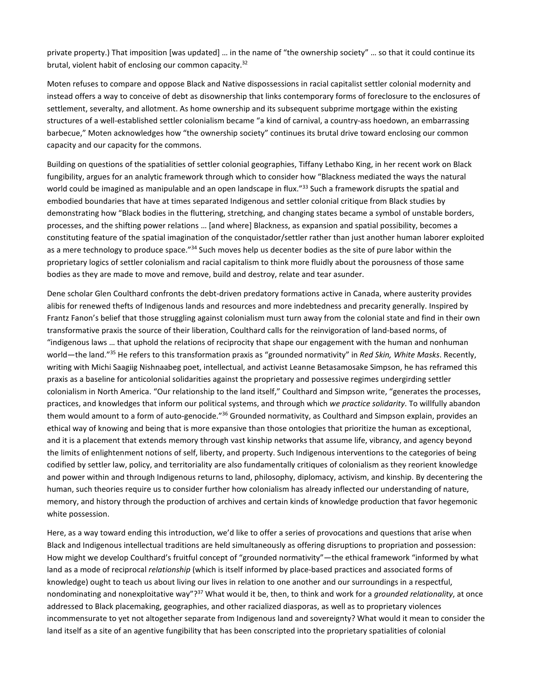private property.) That imposition [was updated] … in the name of "the ownership society" … so that it could continue its brutal, violent habit of enclosing our common capacity.32

Moten refuses to compare and oppose Black and Native dispossessions in racial capitalist settler colonial modernity and instead offers a way to conceive of debt as disownership that links contemporary forms of foreclosure to the enclosures of settlement, severalty, and allotment. As home ownership and its subsequent subprime mortgage within the existing structures of a well-established settler colonialism became "a kind of carnival, a country-ass hoedown, an embarrassing barbecue," Moten acknowledges how "the ownership society" continues its brutal drive toward enclosing our common capacity and our capacity for the commons.

Building on questions of the spatialities of settler colonial geographies, Tiffany Lethabo King, in her recent work on Black fungibility, argues for an analytic framework through which to consider how "Blackness mediated the ways the natural world could be imagined as manipulable and an open landscape in flux."<sup>33</sup> Such a framework disrupts the spatial and embodied boundaries that have at times separated Indigenous and settler colonial critique from Black studies by demonstrating how "Black bodies in the fluttering, stretching, and changing states became a symbol of unstable borders, processes, and the shifting power relations … [and where] Blackness, as expansion and spatial possibility, becomes a constituting feature of the spatial imagination of the conquistador/settler rather than just another human laborer exploited as a mere technology to produce space."<sup>34</sup> Such moves help us decenter bodies as the site of pure labor within the proprietary logics of settler colonialism and racial capitalism to think more fluidly about the porousness of those same bodies as they are made to move and remove, build and destroy, relate and tear asunder.

Dene scholar Glen Coulthard confronts the debt-driven predatory formations active in Canada, where austerity provides alibis for renewed thefts of Indigenous lands and resources and more indebtedness and precarity generally. Inspired by Frantz Fanon's belief that those struggling against colonialism must turn away from the colonial state and find in their own transformative praxis the source of their liberation, Coulthard calls for the reinvigoration of land-based norms, of "indigenous laws … that uphold the relations of reciprocity that shape our engagement with the human and nonhuman world—the land."35 He refers to this transformation praxis as "grounded normativity" in *Red Skin, White Masks*. Recently, writing with Michi Saagiig Nishnaabeg poet, intellectual, and activist Leanne Betasamosake Simpson, he has reframed this praxis as a baseline for anticolonial solidarities against the proprietary and possessive regimes undergirding settler colonialism in North America. "Our relationship to the land itself," Coulthard and Simpson write, "generates the processes, practices, and knowledges that inform our political systems, and through which *we practice solidarity*. To willfully abandon them would amount to a form of auto-genocide."<sup>36</sup> Grounded normativity, as Coulthard and Simpson explain, provides an ethical way of knowing and being that is more expansive than those ontologies that prioritize the human as exceptional, and it is a placement that extends memory through vast kinship networks that assume life, vibrancy, and agency beyond the limits of enlightenment notions of self, liberty, and property. Such Indigenous interventions to the categories of being codified by settler law, policy, and territoriality are also fundamentally critiques of colonialism as they reorient knowledge and power within and through Indigenous returns to land, philosophy, diplomacy, activism, and kinship. By decentering the human, such theories require us to consider further how colonialism has already inflected our understanding of nature, memory, and history through the production of archives and certain kinds of knowledge production that favor hegemonic white possession.

Here, as a way toward ending this introduction, we'd like to offer a series of provocations and questions that arise when Black and Indigenous intellectual traditions are held simultaneously as offering disruptions to propriation and possession: How might we develop Coulthard's fruitful concept of "grounded normativity"—the ethical framework "informed by what land as a mode of reciprocal *relationship* (which is itself informed by place-based practices and associated forms of knowledge) ought to teach us about living our lives in relation to one another and our surroundings in a respectful, nondominating and nonexploitative way"?37 What would it be, then, to think and work for a *grounded relationality*, at once addressed to Black placemaking, geographies, and other racialized diasporas, as well as to proprietary violences incommensurate to yet not altogether separate from Indigenous land and sovereignty? What would it mean to consider the land itself as a site of an agentive fungibility that has been conscripted into the proprietary spatialities of colonial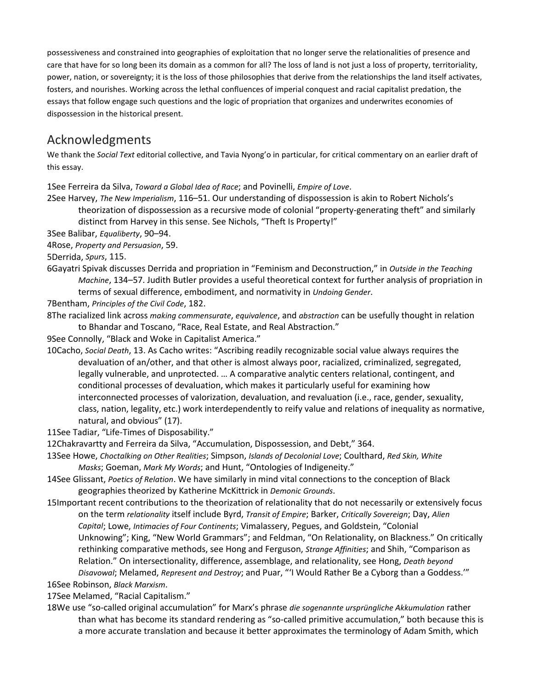possessiveness and constrained into geographies of exploitation that no longer serve the relationalities of presence and care that have for so long been its domain as a common for all? The loss of land is not just a loss of property, territoriality, power, nation, or sovereignty; it is the loss of those philosophies that derive from the relationships the land itself activates, fosters, and nourishes. Working across the lethal confluences of imperial conquest and racial capitalist predation, the essays that follow engage such questions and the logic of propriation that organizes and underwrites economies of dispossession in the historical present.

## Acknowledgments

We thank the *Social Text* editorial collective, and Tavia Nyong'o in particular, for critical commentary on an earlier draft of this essay.

1See Ferreira da Silva, *Toward a Global Idea of Race*; and Povinelli, *Empire of Love*.

2See Harvey, *The New Imperialism*, 116–51. Our understanding of dispossession is akin to Robert Nichols's theorization of dispossession as a recursive mode of colonial "property-generating theft" and similarly distinct from Harvey in this sense. See Nichols, "Theft Is Property!"

3See Balibar, *Equaliberty*, 90–94.

4Rose, *Property and Persuasion*, 59.

5Derrida, *Spurs*, 115.

6Gayatri Spivak discusses Derrida and propriation in "Feminism and Deconstruction," in *Outside in the Teaching Machine*, 134–57. Judith Butler provides a useful theoretical context for further analysis of propriation in terms of sexual difference, embodiment, and normativity in *Undoing Gender*.

7Bentham, *Principles of the Civil Code*, 182.

- 8The racialized link across *making commensurate*, *equivalence*, and *abstraction* can be usefully thought in relation to Bhandar and Toscano, "Race, Real Estate, and Real Abstraction."
- 9See Connolly, "Black and Woke in Capitalist America."
- 10Cacho, *Social Death*, 13. As Cacho writes: "Ascribing readily recognizable social value always requires the devaluation of an/other, and that other is almost always poor, racialized, criminalized, segregated, legally vulnerable, and unprotected. … A comparative analytic centers relational, contingent, and conditional processes of devaluation, which makes it particularly useful for examining how interconnected processes of valorization, devaluation, and revaluation (i.e., race, gender, sexuality, class, nation, legality, etc.) work interdependently to reify value and relations of inequality as normative, natural, and obvious" (17).

11See Tadiar, "Life-Times of Disposability."

- 12Chakravartty and Ferreira da Silva, "Accumulation, Dispossession, and Debt," 364.
- 13See Howe, *Choctalking on Other Realities*; Simpson, *Islands of Decolonial Love*; Coulthard, *Red Skin, White Masks*; Goeman, *Mark My Words*; and Hunt, "Ontologies of Indigeneity."
- 14See Glissant, *Poetics of Relation*. We have similarly in mind vital connections to the conception of Black geographies theorized by Katherine McKittrick in *Demonic Grounds*.
- 15Important recent contributions to the theorization of relationality that do not necessarily or extensively focus on the term *relationality* itself include Byrd, *Transit of Empire*; Barker, *Critically Sovereign*; Day, *Alien Capital*; Lowe, *Intimacies of Four Continents*; Vimalassery, Pegues, and Goldstein, "Colonial Unknowing"; King, "New World Grammars"; and Feldman, "On Relationality, on Blackness." On critically rethinking comparative methods, see Hong and Ferguson, *Strange Affinities*; and Shih, "Comparison as Relation." On intersectionality, difference, assemblage, and relationality, see Hong, *Death beyond Disavowal*; Melamed, *Represent and Destroy*; and Puar, "'I Would Rather Be a Cyborg than a Goddess.'"
- 16See Robinson, *Black Marxism*.

17See Melamed, "Racial Capitalism."

18We use "so-called original accumulation" for Marx's phrase *die sogenannte ursprüngliche Akkumulation* rather than what has become its standard rendering as "so-called primitive accumulation," both because this is a more accurate translation and because it better approximates the terminology of Adam Smith, which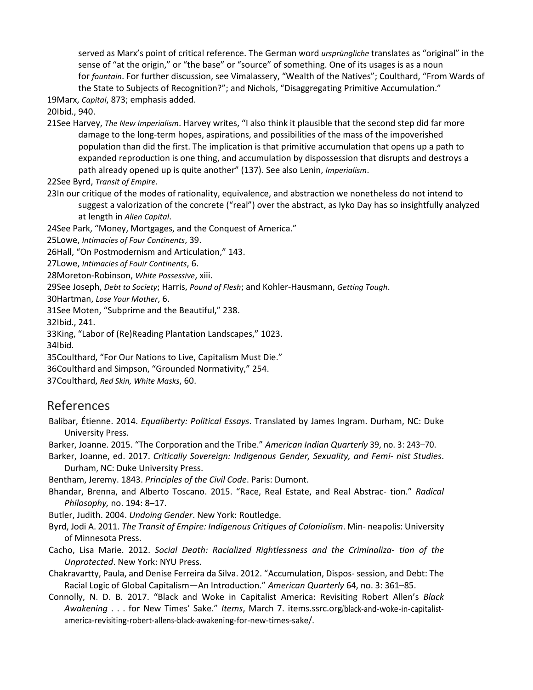served as Marx's point of critical reference. The German word *ursprüngliche* translates as "original" in the sense of "at the origin," or "the base" or "source" of something. One of its usages is as a noun for *fountain*. For further discussion, see Vimalassery, "Wealth of the Natives"; Coulthard, "From Wards of the State to Subjects of Recognition?"; and Nichols, "Disaggregating Primitive Accumulation."

19Marx, *Capital*, 873; emphasis added.

20Ibid., 940.

21See Harvey, *The New Imperialism*. Harvey writes, "I also think it plausible that the second step did far more damage to the long-term hopes, aspirations, and possibilities of the mass of the impoverished population than did the first. The implication is that primitive accumulation that opens up a path to expanded reproduction is one thing, and accumulation by dispossession that disrupts and destroys a path already opened up is quite another" (137). See also Lenin, *Imperialism*.

22See Byrd, *Transit of Empire*.

23In our critique of the modes of rationality, equivalence, and abstraction we nonetheless do not intend to suggest a valorization of the concrete ("real") over the abstract, as Iyko Day has so insightfully analyzed at length in *Alien Capital*.

24See Park, "Money, Mortgages, and the Conquest of America."

25Lowe, *Intimacies of Four Continents*, 39.

26Hall, "On Postmodernism and Articulation," 143.

27Lowe, *Intimacies of Fouir Continents*, 6.

28Moreton-Robinson, *White Possessive*, xiii.

29See Joseph, *Debt to Society*; Harris, *Pound of Flesh*; and Kohler-Hausmann, *Getting Tough*.

30Hartman, *Lose Your Mother*, 6.

31See Moten, "Subprime and the Beautiful," 238.

32Ibid., 241.

33King, "Labor of (Re)Reading Plantation Landscapes," 1023.

34Ibid.

35Coulthard, "For Our Nations to Live, Capitalism Must Die."

36Coulthard and Simpson, "Grounded Normativity," 254.

37Coulthard, *Red Skin, White Masks*, 60.

#### References

Balibar, Étienne. 2014. *Equaliberty: Political Essays*. Translated by James Ingram. Durham, NC: Duke University Press.

Barker, Joanne. 2015. "The Corporation and the Tribe." *American Indian Quarterly* 39, no. 3: 243–70.

Barker, Joanne, ed. 2017. *Critically Sovereign: Indigenous Gender, Sexuality, and Femi- nist Studies*. Durham, NC: Duke University Press.

Bentham, Jeremy. 1843. *Principles of the Civil Code*. Paris: Dumont.

Bhandar, Brenna, and Alberto Toscano. 2015. "Race, Real Estate, and Real Abstrac- tion." *Radical Philosophy,* no. 194: 8–17.

Butler, Judith. 2004. *Undoing Gender*. New York: Routledge.

Byrd, Jodi A. 2011. *The Transit of Empire: Indigenous Critiques of Colonialism*. Min- neapolis: University of Minnesota Press.

- Cacho, Lisa Marie. 2012. *Social Death: Racialized Rightlessness and the Criminaliza- tion of the Unprotected*. New York: NYU Press.
- Chakravartty, Paula, and Denise Ferreira da Silva. 2012. "Accumulation, Dispos- session, and Debt: The Racial Logic of Global Capitalism—An Introduction." *American Quarterly* 64, no. 3: 361–85.
- Connolly, N. D. B. 2017. "Black and Woke in Capitalist America: Revisiting Robert Allen's *Black Awakening* . . . for New Times' Sake." *Items*, March 7. items.ssrc.org/black-and-woke-in-capitalistamerica-revisiting-robert-allens-black-awakening-for-new-times-sake/.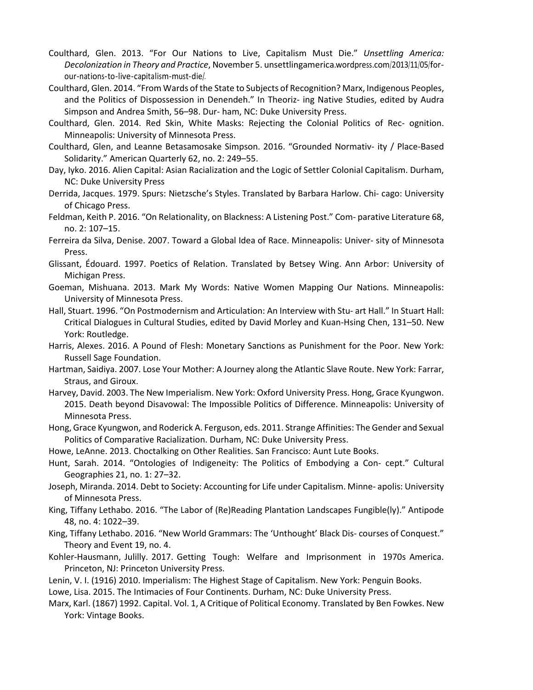- Coulthard, Glen. 2013. "For Our Nations to Live, Capitalism Must Die." *Unsettling America: Decolonization in Theory and Practice*, November 5. unsettlingamerica.wordpress.com/2013/11/05/forour-nations-to-live-capitalism-must-die/.
- Coulthard, Glen. 2014. "From Wards of the State to Subjects of Recognition? Marx, Indigenous Peoples, and the Politics of Dispossession in Denendeh." In Theoriz- ing Native Studies, edited by Audra Simpson and Andrea Smith, 56–98. Dur- ham, NC: Duke University Press.
- Coulthard, Glen. 2014. Red Skin, White Masks: Rejecting the Colonial Politics of Rec- ognition. Minneapolis: University of Minnesota Press.
- Coulthard, Glen, and Leanne Betasamosake Simpson. 2016. "Grounded Normativ- ity / Place-Based Solidarity." American Quarterly 62, no. 2: 249–55.
- Day, Iyko. 2016. Alien Capital: Asian Racialization and the Logic of Settler Colonial Capitalism. Durham, NC: Duke University Press
- Derrida, Jacques. 1979. Spurs: Nietzsche's Styles. Translated by Barbara Harlow. Chi- cago: University of Chicago Press.
- Feldman, Keith P. 2016. "On Relationality, on Blackness: A Listening Post." Com- parative Literature 68, no. 2: 107–15.
- Ferreira da Silva, Denise. 2007. Toward a Global Idea of Race. Minneapolis: Univer- sity of Minnesota Press.
- Glissant, Édouard. 1997. Poetics of Relation. Translated by Betsey Wing. Ann Arbor: University of Michigan Press.
- Goeman, Mishuana. 2013. Mark My Words: Native Women Mapping Our Nations. Minneapolis: University of Minnesota Press.
- Hall, Stuart. 1996. "On Postmodernism and Articulation: An Interview with Stu- art Hall." In Stuart Hall: Critical Dialogues in Cultural Studies, edited by David Morley and Kuan-Hsing Chen, 131–50. New York: Routledge.
- Harris, Alexes. 2016. A Pound of Flesh: Monetary Sanctions as Punishment for the Poor. New York: Russell Sage Foundation.
- Hartman, Saidiya. 2007. Lose Your Mother: A Journey along the Atlantic Slave Route. New York: Farrar, Straus, and Giroux.
- Harvey, David. 2003. The New Imperialism. New York: Oxford University Press. Hong, Grace Kyungwon. 2015. Death beyond Disavowal: The Impossible Politics of Difference. Minneapolis: University of Minnesota Press.
- Hong, Grace Kyungwon, and Roderick A. Ferguson, eds. 2011. Strange Affinities: The Gender and Sexual Politics of Comparative Racialization. Durham, NC: Duke University Press.
- Howe, LeAnne. 2013. Choctalking on Other Realities. San Francisco: Aunt Lute Books.
- Hunt, Sarah. 2014. "Ontologies of Indigeneity: The Politics of Embodying a Con- cept." Cultural Geographies 21, no. 1: 27–32.
- Joseph, Miranda. 2014. Debt to Society: Accounting for Life under Capitalism. Minne- apolis: University of Minnesota Press.
- King, Tiffany Lethabo. 2016. "The Labor of (Re)Reading Plantation Landscapes Fungible(ly)." Antipode 48, no. 4: 1022–39.
- King, Tiffany Lethabo. 2016. "New World Grammars: The 'Unthought' Black Dis- courses of Conquest." Theory and Event 19, no. 4.
- Kohler-Hausmann, Julilly. 2017. Getting Tough: Welfare and Imprisonment in 1970s America. Princeton, NJ: Princeton University Press.
- Lenin, V. I. (1916) 2010. Imperialism: The Highest Stage of Capitalism. New York: Penguin Books.
- Lowe, Lisa. 2015. The Intimacies of Four Continents. Durham, NC: Duke University Press.
- Marx, Karl. (1867) 1992. Capital. Vol. 1, A Critique of Political Economy. Translated by Ben Fowkes. New York: Vintage Books.